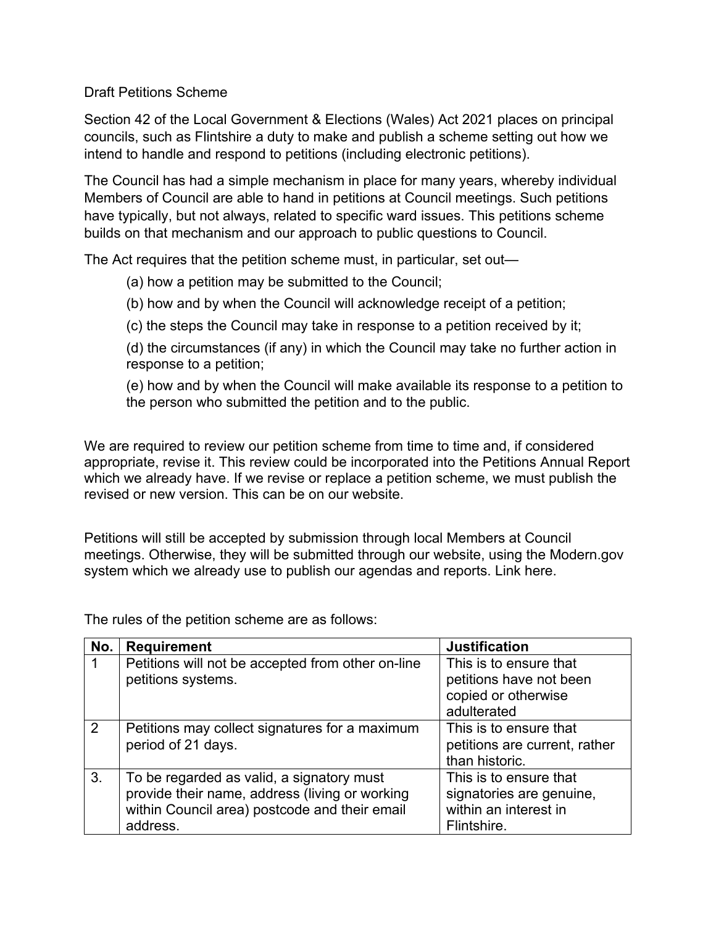Draft Petitions Scheme

Section 42 of the Local Government & Elections (Wales) Act 2021 places on principal councils, such as Flintshire a duty to make and publish a scheme setting out how we intend to handle and respond to petitions (including electronic petitions).

The Council has had a simple mechanism in place for many years, whereby individual Members of Council are able to hand in petitions at Council meetings. Such petitions have typically, but not always, related to specific ward issues. This petitions scheme builds on that mechanism and our approach to public questions to Council.

The Act requires that the petition scheme must, in particular, set out—

- (a) how a petition may be submitted to the Council;
- (b) how and by when the Council will acknowledge receipt of a petition;
- (c) the steps the Council may take in response to a petition received by it;

(d) the circumstances (if any) in which the Council may take no further action in response to a petition;

(e) how and by when the Council will make available its response to a petition to the person who submitted the petition and to the public.

We are required to review our petition scheme from time to time and, if considered appropriate, revise it. This review could be incorporated into the Petitions Annual Report which we already have. If we revise or replace a petition scheme, we must publish the revised or new version. This can be on our website.

Petitions will still be accepted by submission through local Members at Council meetings. Otherwise, they will be submitted through our website, using the Modern.gov system which we already use to publish our agendas and reports. Link here.

The rules of the petition scheme are as follows:

| No. | <b>Requirement</b>                                                                                                                                       | <b>Justification</b>                                                                       |
|-----|----------------------------------------------------------------------------------------------------------------------------------------------------------|--------------------------------------------------------------------------------------------|
|     | Petitions will not be accepted from other on-line<br>petitions systems.                                                                                  | This is to ensure that<br>petitions have not been<br>copied or otherwise<br>adulterated    |
| 2   | Petitions may collect signatures for a maximum<br>period of 21 days.                                                                                     | This is to ensure that<br>petitions are current, rather<br>than historic.                  |
| 3.  | To be regarded as valid, a signatory must<br>provide their name, address (living or working<br>within Council area) postcode and their email<br>address. | This is to ensure that<br>signatories are genuine,<br>within an interest in<br>Flintshire. |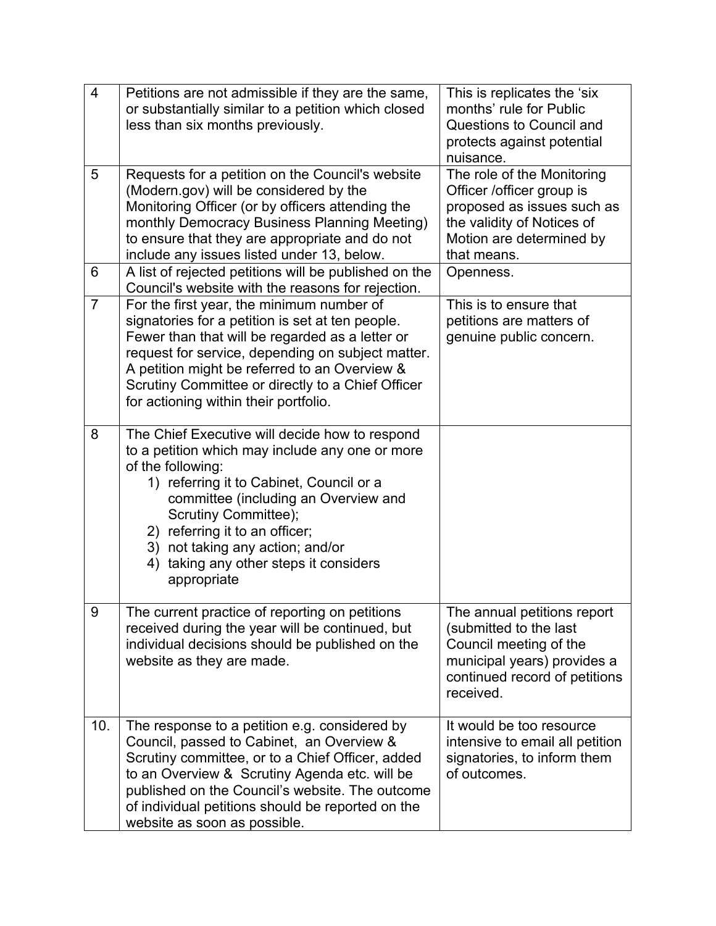| $\overline{4}$ | Petitions are not admissible if they are the same,<br>or substantially similar to a petition which closed<br>less than six months previously.                                                                                                                                                                                                                        | This is replicates the 'six<br>months' rule for Public<br><b>Questions to Council and</b><br>protects against potential<br>nuisance.                           |
|----------------|----------------------------------------------------------------------------------------------------------------------------------------------------------------------------------------------------------------------------------------------------------------------------------------------------------------------------------------------------------------------|----------------------------------------------------------------------------------------------------------------------------------------------------------------|
| 5              | Requests for a petition on the Council's website<br>(Modern.gov) will be considered by the<br>Monitoring Officer (or by officers attending the<br>monthly Democracy Business Planning Meeting)<br>to ensure that they are appropriate and do not<br>include any issues listed under 13, below.                                                                       | The role of the Monitoring<br>Officer /officer group is<br>proposed as issues such as<br>the validity of Notices of<br>Motion are determined by<br>that means. |
| 6              | A list of rejected petitions will be published on the<br>Council's website with the reasons for rejection.                                                                                                                                                                                                                                                           | Openness.                                                                                                                                                      |
| $\overline{7}$ | For the first year, the minimum number of<br>signatories for a petition is set at ten people.<br>Fewer than that will be regarded as a letter or<br>request for service, depending on subject matter.<br>A petition might be referred to an Overview &<br>Scrutiny Committee or directly to a Chief Officer<br>for actioning within their portfolio.                 | This is to ensure that<br>petitions are matters of<br>genuine public concern.                                                                                  |
| 8              | The Chief Executive will decide how to respond<br>to a petition which may include any one or more<br>of the following:<br>1) referring it to Cabinet, Council or a<br>committee (including an Overview and<br>Scrutiny Committee);<br>2) referring it to an officer;<br>3) not taking any action; and/or<br>taking any other steps it considers<br>4)<br>appropriate |                                                                                                                                                                |
| 9              | The current practice of reporting on petitions<br>received during the year will be continued, but<br>individual decisions should be published on the<br>website as they are made.                                                                                                                                                                                    | The annual petitions report<br>(submitted to the last<br>Council meeting of the<br>municipal years) provides a<br>continued record of petitions<br>received.   |
| 10.            | The response to a petition e.g. considered by<br>Council, passed to Cabinet, an Overview &<br>Scrutiny committee, or to a Chief Officer, added<br>to an Overview & Scrutiny Agenda etc. will be<br>published on the Council's website. The outcome<br>of individual petitions should be reported on the<br>website as soon as possible.                              | It would be too resource<br>intensive to email all petition<br>signatories, to inform them<br>of outcomes.                                                     |